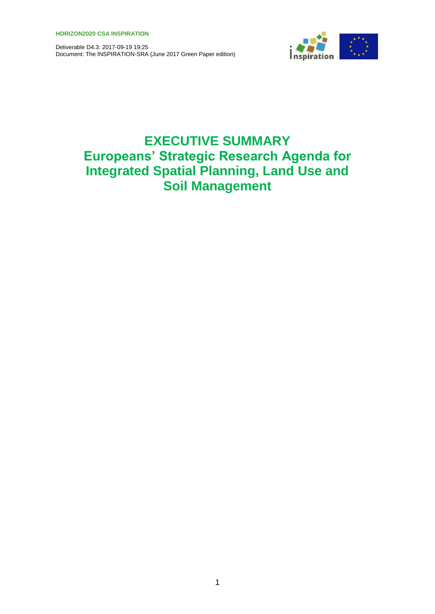

# **EXECUTIVE SUMMARY Europeans' Strategic Research Agenda for Integrated Spatial Planning, Land Use and Soil Management**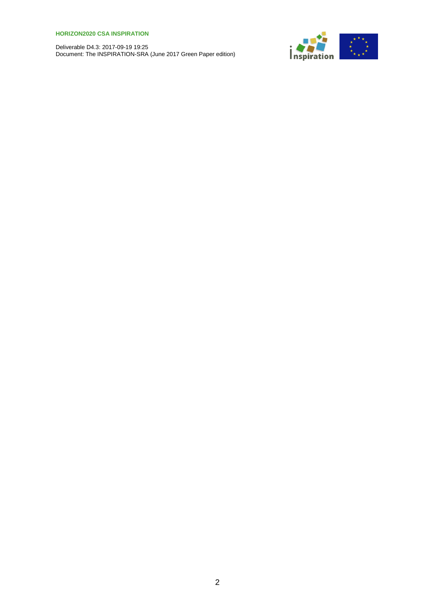Deliverable D4.3: 2017-09-19 19:25 Document: The INSPIRATION-SRA (June 2017 Green Paper edition)

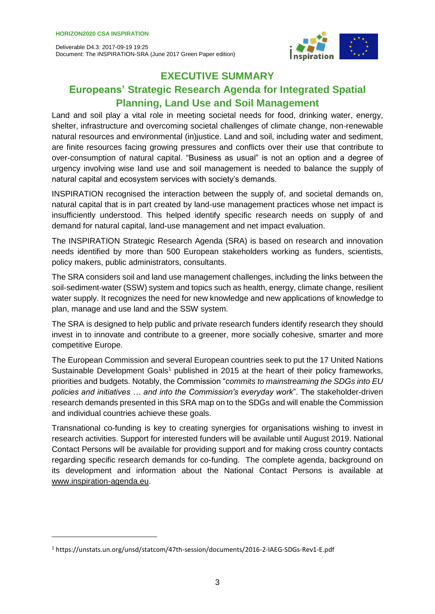

# **EXECUTIVE SUMMARY**

# **Europeans' Strategic Research Agenda for Integrated Spatial Planning, Land Use and Soil Management**

Land and soil play a vital role in meeting societal needs for food, drinking water, energy, shelter, infrastructure and overcoming societal challenges of climate change, non-renewable natural resources and environmental (in)justice. Land and soil, including water and sediment, are finite resources facing growing pressures and conflicts over their use that contribute to over-consumption of natural capital. "Business as usual" is not an option and a degree of urgency involving wise land use and soil management is needed to balance the supply of natural capital and ecosystem services with society's demands.

INSPIRATION recognised the interaction between the supply of, and societal demands on, natural capital that is in part created by land-use management practices whose net impact is insufficiently understood. This helped identify specific research needs on supply of and demand for natural capital, land-use management and net impact evaluation.

The INSPIRATION Strategic Research Agenda (SRA) is based on research and innovation needs identified by more than 500 European stakeholders working as funders, scientists, policy makers, public administrators, consultants.

The SRA considers soil and land use management challenges, including the links between the soil-sediment-water (SSW) system and topics such as health, energy, climate change, resilient water supply. It recognizes the need for new knowledge and new applications of knowledge to plan, manage and use land and the SSW system.

The SRA is designed to help public and private research funders identify research they should invest in to innovate and contribute to a greener, more socially cohesive, smarter and more competitive Europe.

The European Commission and several European countries seek to put the 17 United Nations Sustainable Development Goals<sup>1</sup> published in 2015 at the heart of their policy frameworks, priorities and budgets. Notably, the Commission "*commits to mainstreaming the SDGs into EU policies and initiatives … and into the Commission's everyday work*". The stakeholder-driven research demands presented in this SRA map on to the SDGs and will enable the Commission and individual countries achieve these goals.

Transnational co-funding is key to creating synergies for organisations wishing to invest in research activities. Support for interested funders will be available until August 2019. National Contact Persons will be available for providing support and for making cross country contacts regarding specific research demands for co-funding. The complete agenda, background on its development and information about the National Contact Persons is available at [www.inspiration-agenda.eu.](http://www.inspiration-agenda.eu/)

<sup>1</sup> https://unstats.un.org/unsd/statcom/47th-session/documents/2016-2-IAEG-SDGs-Rev1-E.pdf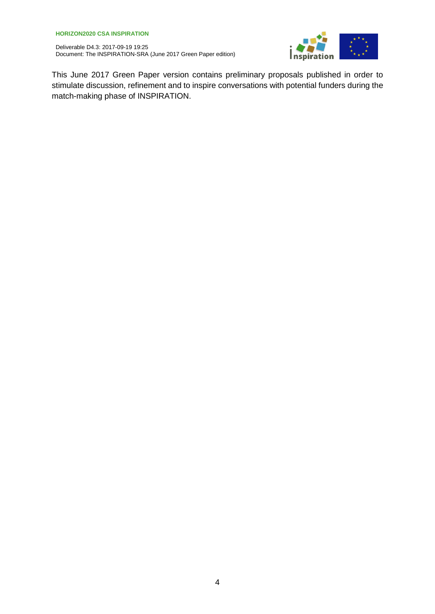Deliverable D4.3: 2017-09-19 19:25 Document: The INSPIRATION-SRA (June 2017 Green Paper edition)



This June 2017 Green Paper version contains preliminary proposals published in order to stimulate discussion, refinement and to inspire conversations with potential funders during the match-making phase of INSPIRATION.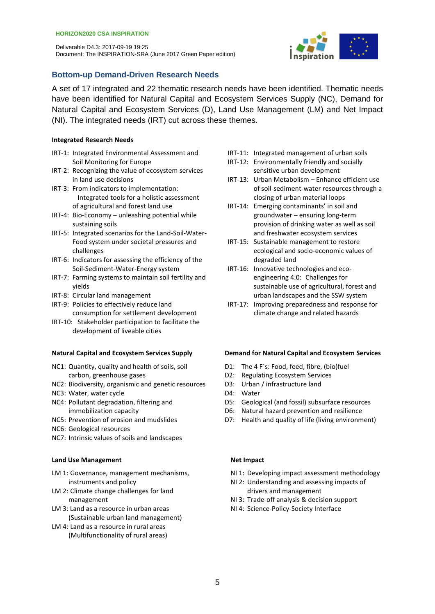

### **Bottom-up Demand-Driven Research Needs**

A set of 17 integrated and 22 thematic research needs have been identified. Thematic needs have been identified for Natural Capital and Ecosystem Services Supply (NC), Demand for Natural Capital and Ecosystem Services (D), Land Use Management (LM) and Net Impact (NI). The integrated needs (IRT) cut across these themes.

#### **Integrated Research Needs**

- IRT-1: Integrated Environmental Assessment and Soil Monitoring for Europe
- IRT-2: Recognizing the value of ecosystem services in land use decisions
- IRT-3: From indicators to implementation: Integrated tools for a holistic assessment of agricultural and forest land use
- IRT-4: Bio-Economy unleashing potential while sustaining soils
- IRT-5: Integrated scenarios for the Land-Soil-Water-Food system under societal pressures and challenges
- IRT-6: Indicators for assessing the efficiency of the Soil-Sediment-Water-Energy system
- IRT-7: Farming systems to maintain soil fertility and yields
- IRT-8: Circular land management
- IRT-9: Policies to effectively reduce land consumption for settlement development
- IRT-10: Stakeholder participation to facilitate the development of liveable cities

#### **Natural Capital and Ecosystem Services Supply**

- NC1: Quantity, quality and health of soils, soil carbon, greenhouse gases
- NC2: Biodiversity, organismic and genetic resources
- NC3: Water, water cycle
- NC4: Pollutant degradation, filtering and immobilization capacity
- NC5: Prevention of erosion and mudslides
- NC6: Geological resources
- NC7: Intrinsic values of soils and landscapes

#### **Land Use Management**

- LM 1: Governance, management mechanisms, instruments and policy
- LM 2: Climate change challenges for land management
- LM 3: Land as a resource in urban areas (Sustainable urban land management)
- LM 4: Land as a resource in rural areas (Multifunctionality of rural areas)
- IRT-11: Integrated management of urban soils
- IRT-12: Environmentally friendly and socially sensitive urban development
- IRT-13: Urban Metabolism Enhance efficient use of soil-sediment-water resources through a closing of urban material loops
- IRT-14: Emerging contaminants' in soil and groundwater – ensuring long-term provision of drinking water as well as soil and freshwater ecosystem services
- IRT-15: Sustainable management to restore ecological and socio-economic values of degraded land
- IRT-16: Innovative technologies and ecoengineering 4.0: Challenges for sustainable use of agricultural, forest and urban landscapes and the SSW system
- IRT-17: Improving preparedness and response for climate change and related hazards

#### **Demand for Natural Capital and Ecosystem Services**

- D1: The 4 F´s: Food, feed, fibre, (bio)fuel
- D2: Regulating Ecosystem Services
- D3: Urban / infrastructure land
- D4: Water
- D5: Geological (and fossil) subsurface resources
- D6: Natural hazard prevention and resilience
- D7: Health and quality of life (living environment)

#### **Net Impact**

- NI 1: Developing impact assessment methodology
- NI 2: Understanding and assessing impacts of drivers and management
- NI 3: Trade-off analysis & decision support
- NI 4: Science-Policy-Society Interface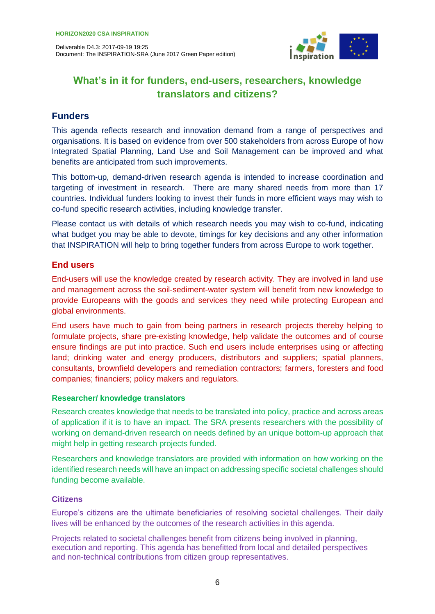

# **What's in it for funders, end-users, researchers, knowledge translators and citizens?**

# **Funders**

This agenda reflects research and innovation demand from a range of perspectives and organisations. It is based on evidence from over 500 stakeholders from across Europe of how Integrated Spatial Planning, Land Use and Soil Management can be improved and what benefits are anticipated from such improvements.

This bottom-up, demand-driven research agenda is intended to increase coordination and targeting of investment in research. There are many shared needs from more than 17 countries. Individual funders looking to invest their funds in more efficient ways may wish to co-fund specific research activities, including knowledge transfer.

Please contact us with details of which research needs you may wish to co-fund, indicating what budget you may be able to devote, timings for key decisions and any other information that INSPIRATION will help to bring together funders from across Europe to work together.

# **End users**

End-users will use the knowledge created by research activity. They are involved in land use and management across the soil-sediment-water system will benefit from new knowledge to provide Europeans with the goods and services they need while protecting European and global environments.

End users have much to gain from being partners in research projects thereby helping to formulate projects, share pre-existing knowledge, help validate the outcomes and of course ensure findings are put into practice. Such end users include enterprises using or affecting land; drinking water and energy producers, distributors and suppliers; spatial planners, consultants, brownfield developers and remediation contractors; farmers, foresters and food companies; financiers; policy makers and regulators.

### **Researcher/ knowledge translators**

Research creates knowledge that needs to be translated into policy, practice and across areas of application if it is to have an impact. The SRA presents researchers with the possibility of working on demand-driven research on needs defined by an unique bottom-up approach that might help in getting research projects funded.

Researchers and knowledge translators are provided with information on how working on the identified research needs will have an impact on addressing specific societal challenges should funding become available.

### **Citizens**

Europe's citizens are the ultimate beneficiaries of resolving societal challenges. Their daily lives will be enhanced by the outcomes of the research activities in this agenda.

Projects related to societal challenges benefit from citizens being involved in planning, execution and reporting. This agenda has benefitted from local and detailed perspectives and non-technical contributions from citizen group representatives.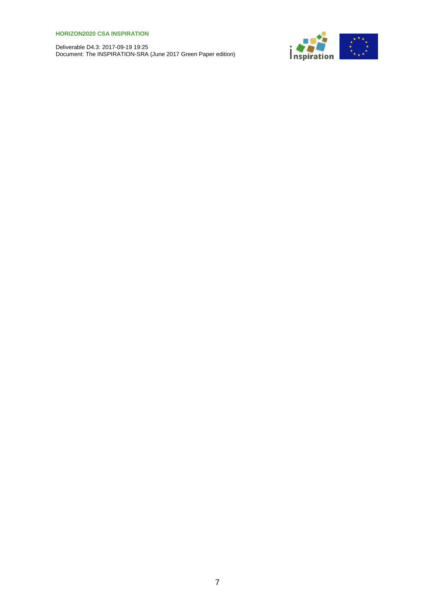Deliverable D4.3: 2017-09-19 19:25 Document: The INSPIRATION-SRA (June 2017 Green Paper edition)

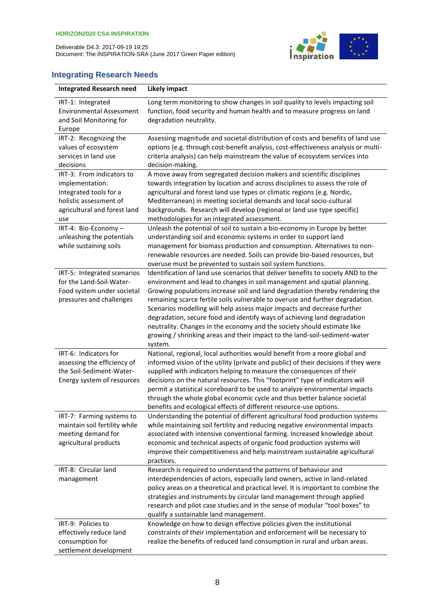

## **Integrating Research Needs**

| <b>Integrated Research need</b>                                                                                                         | <b>Likely impact</b>                                                                                                                                                                                                                                                                                                                                                                                                                                                                                                                                                                                                                                     |
|-----------------------------------------------------------------------------------------------------------------------------------------|----------------------------------------------------------------------------------------------------------------------------------------------------------------------------------------------------------------------------------------------------------------------------------------------------------------------------------------------------------------------------------------------------------------------------------------------------------------------------------------------------------------------------------------------------------------------------------------------------------------------------------------------------------|
| IRT-1: Integrated<br><b>Environmental Assessment</b><br>and Soil Monitoring for<br>Europe                                               | Long term monitoring to show changes in soil quality to levels impacting soil<br>function, food security and human health and to measure progress on land<br>degradation neutrality.                                                                                                                                                                                                                                                                                                                                                                                                                                                                     |
| IRT-2: Recognizing the<br>values of ecosystem<br>services in land use<br>decisions                                                      | Assessing magnitude and societal distribution of costs and benefits of land use<br>options (e.g. through cost-benefit analysis, cost-effectiveness analysis or multi-<br>criteria analysis) can help mainstream the value of ecosystem services into<br>decision-making.                                                                                                                                                                                                                                                                                                                                                                                 |
| IRT-3: From indicators to<br>implementation:<br>Integrated tools for a<br>holistic assessment of<br>agricultural and forest land<br>use | A move away from segregated decision makers and scientific disciplines<br>towards integration by location and across disciplines to assess the role of<br>agricultural and forest land use types or climatic regions (e.g. Nordic,<br>Mediterranean) in meeting societal demands and local socio-cultural<br>backgrounds. Research will develop (regional or land use type specific)<br>methodologies for an integrated assessment.                                                                                                                                                                                                                      |
| IRT-4: Bio-Economy-<br>unleashing the potentials<br>while sustaining soils                                                              | Unleash the potential of soil to sustain a bio-economy in Europe by better<br>understanding soil and economic systems in order to support land<br>management for biomass production and consumption. Alternatives to non-<br>renewable resources are needed. Soils can provide bio-based resources, but<br>overuse must be prevented to sustain soil system functions.                                                                                                                                                                                                                                                                                   |
| IRT-5: Integrated scenarios<br>for the Land-Soil-Water-<br>Food system under societal<br>pressures and challenges                       | Identification of land use scenarios that deliver benefits to society AND to the<br>environment and lead to changes in soil management and spatial planning.<br>Growing populations increase soil and land degradation thereby rendering the<br>remaining scarce fertile soils vulnerable to overuse and further degradation.<br>Scenarios modelling will help assess major impacts and decrease further<br>degradation, secure food and identify ways of achieving land degradation<br>neutrality. Changes in the economy and the society should estimate like<br>growing / shrinking areas and their impact to the land-soil-sediment-water<br>system. |
| IRT-6: Indicators for<br>assessing the efficiency of<br>the Soil-Sediment-Water-<br>Energy system of resources                          | National, regional, local authorities would benefit from a more global and<br>informed vision of the utility (private and public) of their decisions if they were<br>supplied with indicators helping to measure the consequences of their<br>decisions on the natural resources. This "footprint" type of indicators will<br>permit a statistical scoreboard to be used to analyze environmental impacts<br>through the whole global economic cycle and thus better balance societal<br>benefits and ecological effects of different resource-use options.                                                                                              |
| IRT-7: Farming systems to<br>maintain soil fertility while<br>meeting demand for<br>agricultural products                               | Understanding the potential of different agricultural food production systems<br>while maintaining soil fertility and reducing negative environmental impacts<br>associated with intensive conventional farming. Increased knowledge about<br>economic and technical aspects of organic food production systems will<br>improve their competitiveness and help mainstream sustainable agricultural<br>practices.                                                                                                                                                                                                                                         |
| IRT-8: Circular land<br>management                                                                                                      | Research is required to understand the patterns of behaviour and<br>interdependencies of actors, especially land owners, active in land-related<br>policy areas on a theoretical and practical level. It is important to combine the<br>strategies and instruments by circular land management through applied<br>research and pilot case studies and in the sense of modular "tool boxes" to<br>qualify a sustainable land management.                                                                                                                                                                                                                  |
| IRT-9: Policies to<br>effectively reduce land<br>consumption for<br>settlement development                                              | Knowledge on how to design effective policies given the institutional<br>constraints of their implementation and enforcement will be necessary to<br>realize the benefits of reduced land consumption in rural and urban areas.                                                                                                                                                                                                                                                                                                                                                                                                                          |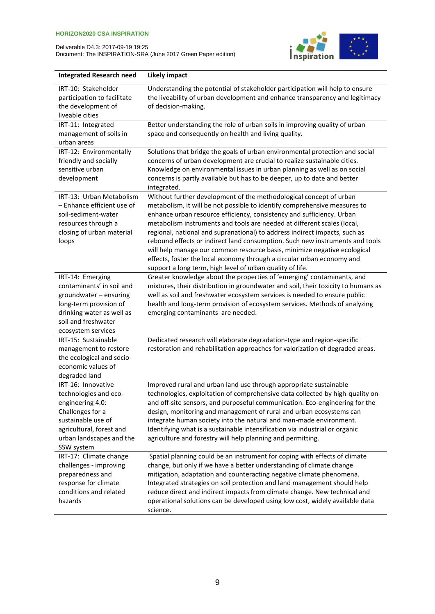Deliverable D4.3: 2017-09-19 19:25 Document: The INSPIRATION-SRA (June 2017 Green Paper edition)



| <b>Integrated Research need</b>                                                                                                                                                 | <b>Likely impact</b>                                                                                                                                                                                                                                                                                                                                                                                                                                                                                                                                                                                                                                                                 |
|---------------------------------------------------------------------------------------------------------------------------------------------------------------------------------|--------------------------------------------------------------------------------------------------------------------------------------------------------------------------------------------------------------------------------------------------------------------------------------------------------------------------------------------------------------------------------------------------------------------------------------------------------------------------------------------------------------------------------------------------------------------------------------------------------------------------------------------------------------------------------------|
| IRT-10: Stakeholder<br>participation to facilitate<br>the development of<br>liveable cities                                                                                     | Understanding the potential of stakeholder participation will help to ensure<br>the liveability of urban development and enhance transparency and legitimacy<br>of decision-making.                                                                                                                                                                                                                                                                                                                                                                                                                                                                                                  |
| IRT-11: Integrated<br>management of soils in<br>urban areas                                                                                                                     | Better understanding the role of urban soils in improving quality of urban<br>space and consequently on health and living quality.                                                                                                                                                                                                                                                                                                                                                                                                                                                                                                                                                   |
| IRT-12: Environmentally<br>friendly and socially<br>sensitive urban<br>development                                                                                              | Solutions that bridge the goals of urban environmental protection and social<br>concerns of urban development are crucial to realize sustainable cities.<br>Knowledge on environmental issues in urban planning as well as on social<br>concerns is partly available but has to be deeper, up to date and better<br>integrated.                                                                                                                                                                                                                                                                                                                                                      |
| IRT-13: Urban Metabolism<br>- Enhance efficient use of<br>soil-sediment-water<br>resources through a<br>closing of urban material<br>loops                                      | Without further development of the methodological concept of urban<br>metabolism, it will be not possible to identify comprehensive measures to<br>enhance urban resource efficiency, consistency and sufficiency. Urban<br>metabolism instruments and tools are needed at different scales (local,<br>regional, national and supranational) to address indirect impacts, such as<br>rebound effects or indirect land consumption. Such new instruments and tools<br>will help manage our common resource basis, minimize negative ecological<br>effects, foster the local economy through a circular urban economy and<br>support a long term, high level of urban quality of life. |
| IRT-14: Emerging<br>contaminants' in soil and<br>groundwater - ensuring<br>long-term provision of<br>drinking water as well as<br>soil and freshwater<br>ecosystem services     | Greater knowledge about the properties of 'emerging' contaminants, and<br>mixtures, their distribution in groundwater and soil, their toxicity to humans as<br>well as soil and freshwater ecosystem services is needed to ensure public<br>health and long-term provision of ecosystem services. Methods of analyzing<br>emerging contaminants are needed.                                                                                                                                                                                                                                                                                                                          |
| IRT-15: Sustainable<br>management to restore<br>the ecological and socio-<br>economic values of<br>degraded land                                                                | Dedicated research will elaborate degradation-type and region-specific<br>restoration and rehabilitation approaches for valorization of degraded areas.                                                                                                                                                                                                                                                                                                                                                                                                                                                                                                                              |
| IRT-16: Innovative<br>technologies and eco-<br>engineering 4.0:<br>Challenges for a<br>sustainable use of<br>agricultural, forest and<br>urban landscapes and the<br>SSW system | Improved rural and urban land use through appropriate sustainable<br>technologies, exploitation of comprehensive data collected by high-quality on-<br>and off-site sensors, and purposeful communication. Eco-engineering for the<br>design, monitoring and management of rural and urban ecosystems can<br>integrate human society into the natural and man-made environment.<br>Identifying what is a sustainable intensification via industrial or organic<br>agriculture and forestry will help planning and permitting.                                                                                                                                                        |
| IRT-17: Climate change<br>challenges - improving<br>preparedness and<br>response for climate<br>conditions and related<br>hazards                                               | Spatial planning could be an instrument for coping with effects of climate<br>change, but only if we have a better understanding of climate change<br>mitigation, adaptation and counteracting negative climate phenomena.<br>Integrated strategies on soil protection and land management should help<br>reduce direct and indirect impacts from climate change. New technical and<br>operational solutions can be developed using low cost, widely available data<br>science.                                                                                                                                                                                                      |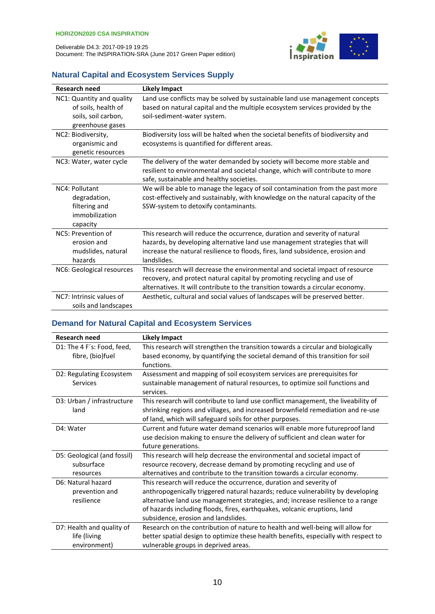

### **Natural Capital and Ecosystem Services Supply**

| <b>Research need</b>                                                                        | <b>Likely Impact</b>                                                                                                                                                                                                                                       |
|---------------------------------------------------------------------------------------------|------------------------------------------------------------------------------------------------------------------------------------------------------------------------------------------------------------------------------------------------------------|
| NC1: Quantity and quality<br>of soils, health of<br>soils, soil carbon,<br>greenhouse gases | Land use conflicts may be solved by sustainable land use management concepts<br>based on natural capital and the multiple ecosystem services provided by the<br>soil-sediment-water system.                                                                |
| NC2: Biodiversity,<br>organismic and<br>genetic resources                                   | Biodiversity loss will be halted when the societal benefits of biodiversity and<br>ecosystems is quantified for different areas.                                                                                                                           |
| NC3: Water, water cycle                                                                     | The delivery of the water demanded by society will become more stable and<br>resilient to environmental and societal change, which will contribute to more<br>safe, sustainable and healthy societies.                                                     |
| NC4: Pollutant<br>degradation,<br>filtering and<br>immobilization<br>capacity               | We will be able to manage the legacy of soil contamination from the past more<br>cost-effectively and sustainably, with knowledge on the natural capacity of the<br>SSW-system to detoxify contaminants.                                                   |
| NC5: Prevention of<br>erosion and<br>mudslides, natural<br>hazards                          | This research will reduce the occurrence, duration and severity of natural<br>hazards, by developing alternative land use management strategies that will<br>increase the natural resilience to floods, fires, land subsidence, erosion and<br>landslides. |
| NC6: Geological resources                                                                   | This research will decrease the environmental and societal impact of resource<br>recovery, and protect natural capital by promoting recycling and use of<br>alternatives. It will contribute to the transition towards a circular economy.                 |
| NC7: Intrinsic values of<br>soils and landscapes                                            | Aesthetic, cultural and social values of landscapes will be preserved better.                                                                                                                                                                              |

## **Demand for Natural Capital and Ecosystem Services**

| <b>Research need</b>        | <b>Likely Impact</b>                                                                |
|-----------------------------|-------------------------------------------------------------------------------------|
| D1: The 4 F's: Food, feed,  | This research will strengthen the transition towards a circular and biologically    |
| fibre, (bio)fuel            | based economy, by quantifying the societal demand of this transition for soil       |
|                             | functions.                                                                          |
| D2: Regulating Ecosystem    | Assessment and mapping of soil ecosystem services are prerequisites for             |
| Services                    | sustainable management of natural resources, to optimize soil functions and         |
|                             | services.                                                                           |
| D3: Urban / infrastructure  | This research will contribute to land use conflict management, the liveability of   |
| land                        | shrinking regions and villages, and increased brownfield remediation and re-use     |
|                             | of land, which will safeguard soils for other purposes.                             |
| D4: Water                   | Current and future water demand scenarios will enable more futureproof land         |
|                             | use decision making to ensure the delivery of sufficient and clean water for        |
|                             | future generations.                                                                 |
| D5: Geological (and fossil) | This research will help decrease the environmental and societal impact of           |
| subsurface                  | resource recovery, decrease demand by promoting recycling and use of                |
| resources                   | alternatives and contribute to the transition towards a circular economy.           |
| D6: Natural hazard          | This research will reduce the occurrence, duration and severity of                  |
| prevention and              | anthropogenically triggered natural hazards; reduce vulnerability by developing     |
| resilience                  | alternative land use management strategies, and; increase resilience to a range     |
|                             | of hazards including floods, fires, earthquakes, volcanic eruptions, land           |
|                             | subsidence, erosion and landslides.                                                 |
| D7: Health and quality of   | Research on the contribution of nature to health and well-being will allow for      |
| life (living                | better spatial design to optimize these health benefits, especially with respect to |
| environment)                | vulnerable groups in deprived areas.                                                |